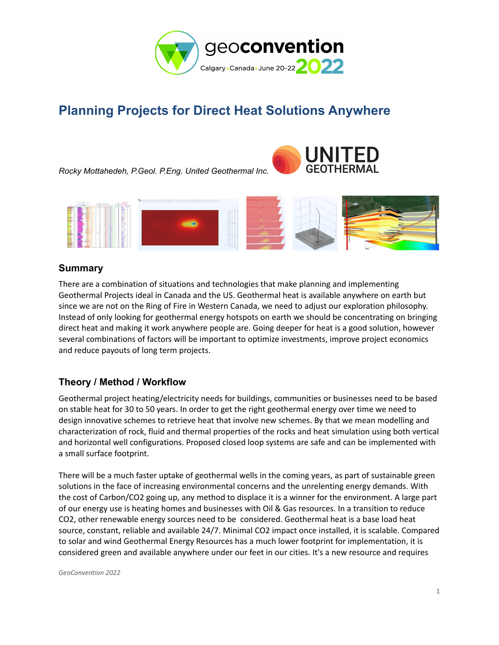

# **Planning Projects for Direct Heat Solutions Anywhere**

*Rocky Mottahedeh, P.Geol. P.Eng. United Geothermal Inc.*





### **Summary**

There are a combination of situations and technologies that make planning and implementing Geothermal Projects ideal in Canada and the US. Geothermal heat is available anywhere on earth but since we are not on the Ring of Fire in Western Canada, we need to adjust our exploration philosophy. Instead of only looking for geothermal energy hotspots on earth we should be concentrating on bringing direct heat and making it work anywhere people are. Going deeper for heat is a good solution, however several combinations of factors will be important to optimize investments, improve project economics and reduce payouts of long term projects.

## **Theory / Method / Workflow**

Geothermal project heating/electricity needs for buildings, communities or businesses need to be based on stable heat for 30 to 50 years. In order to get the right geothermal energy over time we need to design innovative schemes to retrieve heat that involve new schemes. By that we mean modelling and characterization of rock, fluid and thermal properties of the rocks and heat simulation using both vertical and horizontal well configurations. Proposed closed loop systems are safe and can be implemented with a small surface footprint.

There will be a much faster uptake of geothermal wells in the coming years, as part of sustainable green solutions in the face of increasing environmental concerns and the unrelenting energy demands. With the cost of Carbon/CO2 going up, any method to displace it is a winner for the environment. A large part of our energy use is heating homes and businesses with Oil & Gas resources. In a transition to reduce CO2, other renewable energy sources need to be considered. Geothermal heat is a base load heat source, constant, reliable and available 24/7. Minimal CO2 impact once installed, it is scalable. Compared to solar and wind Geothermal Energy Resources has a much lower footprint for implementation, it is considered green and available anywhere under our feet in our cities. It's a new resource and requires